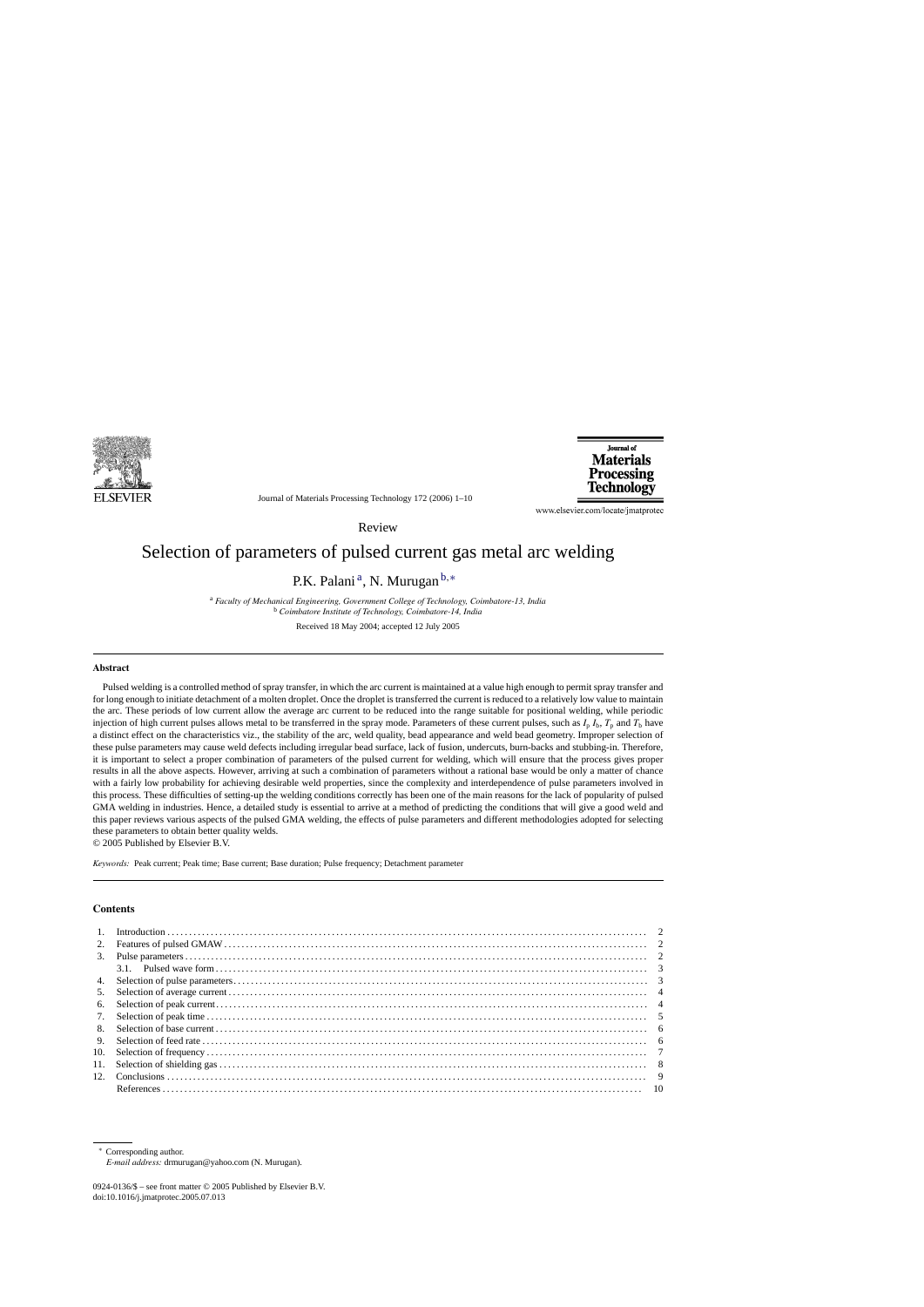



Journal of Materials Processing Technology 172 (2006) 1–10

www.elsevier.com/locate/jmatprotec

Review

# Selection of parameters of pulsed current gas metal arc welding

P.K. Palani<sup>a</sup>, N. Murugan<sup>b,∗</sup>

<sup>a</sup> *Faculty of Mechanical Engineering, Government College of Technology, Coimbatore-13, India* <sup>b</sup> *Coimbatore Institute of Technology, Coimbatore-14, India*

Received 18 May 2004; accepted 12 July 2005

## **Abstract**

Pulsed welding is a controlled method of spray transfer, in which the arc current is maintained at a value high enough to permit spray transfer and for long enough to initiate detachment of a molten droplet. Once the droplet is transferred the current is reduced to a relatively low value to maintain the arc. These periods of low current allow the average arc current to be reduced into the range suitable for positional welding, while periodic injection of high current pulses allows metal to be transferred in the spray mode. Parameters of these current pulses, such as  $I_p I_b$ ,  $T_p$  and  $T_p$  have a distinct effect on the characteristics viz., the stability of the arc, weld quality, bead appearance and weld bead geometry. Improper selection of these pulse parameters may cause weld defects including irregular bead surface, lack of fusion, undercuts, burn-backs and stubbing-in. Therefore, it is important to select a proper combination of parameters of the pulsed current for welding, which will ensure that the process gives proper results in all the above aspects. However, arriving at such a combination of parameters without a rational base would be only a matter of chance with a fairly low probability for achieving desirable weld properties, since the complexity and interdependence of pulse parameters involved in this process. These difficulties of setting-up the welding conditions correctly has been one of the main reasons for the lack of popularity of pulsed GMA welding in industries. Hence, a detailed study is essential to arrive at a method of predicting the conditions that will give a good weld and this paper reviews various aspects of the pulsed GMA welding, the effects of pulse parameters and different methodologies adopted for selecting these parameters to obtain better quality welds. © 2005 Published by Elsevier B.V.

*Keywords:* Peak current; Peak time; Base current; Base duration; Pulse frequency; Detachment parameter

## **Contents**

| 8. |  |
|----|--|
| 9. |  |
|    |  |
|    |  |
|    |  |
|    |  |

Corresponding author.

*E-mail address:* drmurugan@yahoo.com (N. Murugan).

<sup>0924-0136/\$ –</sup> see front matter © 2005 Published by Elsevier B.V. doi:10.1016/j.jmatprotec.2005.07.013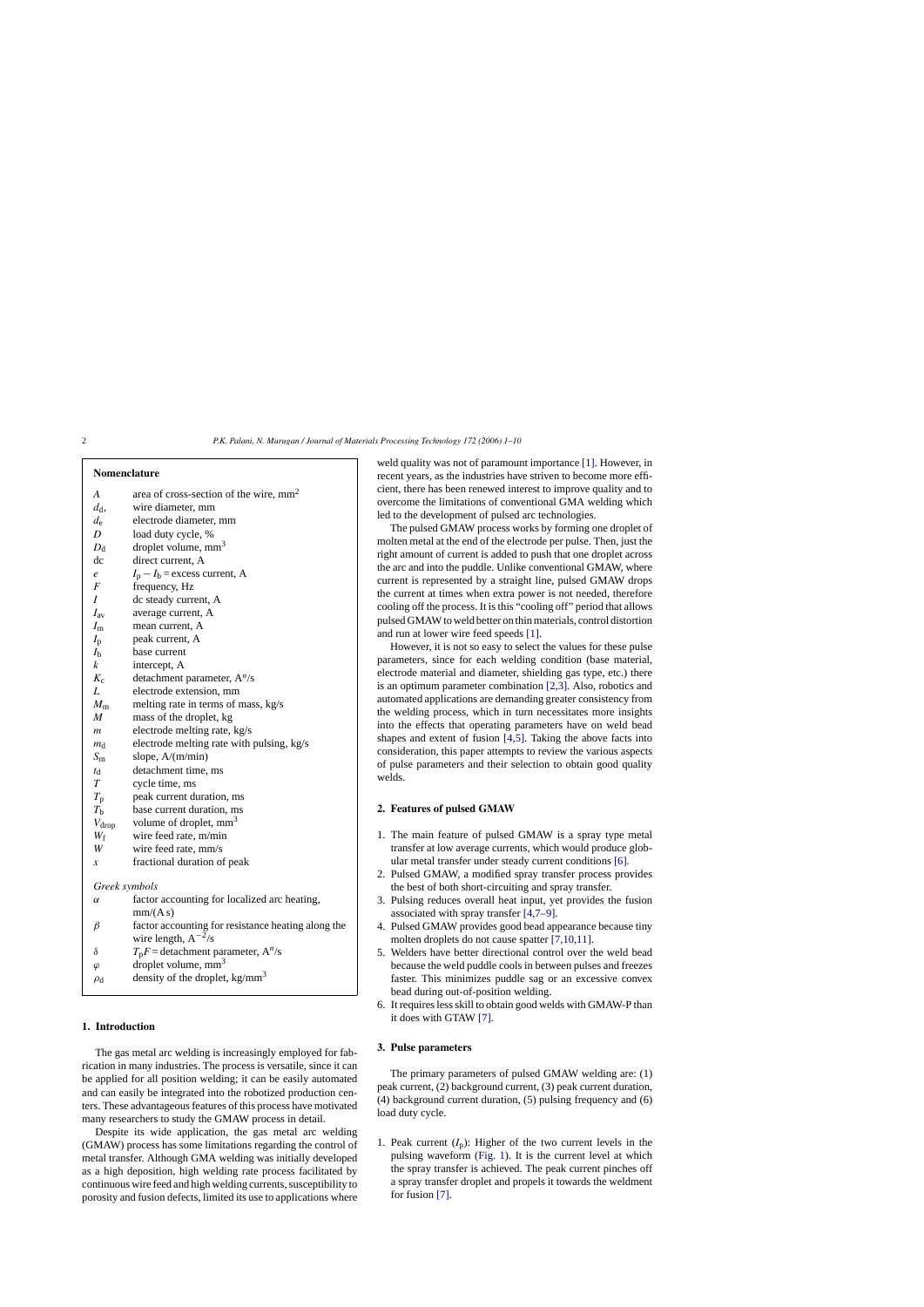# **Nomenclature**

| A                | area of cross-section of the wire, $mm2$           |
|------------------|----------------------------------------------------|
| $d_{\rm d}$ ,    | wire diameter, mm                                  |
| $d_{\rm e}$      | electrode diameter, mm                             |
| D                | load duty cycle, %                                 |
| $D_{d}$          | droplet volume, mm <sup>3</sup>                    |
| dc               | direct current, A                                  |
| e                | $I_p - I_b$ = excess current, A                    |
| F                | frequency, Hz                                      |
| Ι                | dc steady current, A                               |
| $I_{\rm av}$     | average current, A                                 |
| $I_{\rm m}$      | mean current, A                                    |
| $I_{\rm p}$      | peak current, A                                    |
| $I_{\rm b}$      | base current                                       |
| k                | intercept, A                                       |
| $K_c$            | detachment parameter, $An/s$                       |
| L                | electrode extension, mm                            |
| $M_{\rm m}$      | melting rate in terms of mass, kg/s                |
| M                | mass of the droplet, kg                            |
| $\mathfrak{m}$   | electrode melting rate, kg/s                       |
| m <sub>d</sub>   | electrode melting rate with pulsing, kg/s          |
| $S_{\rm m}$      | slope, $A/(m/min)$                                 |
| $t_{\rm d}$      | detachment time, ms                                |
| $\boldsymbol{T}$ | cycle time, ms                                     |
| $T_{\rm p}$      | peak current duration, ms                          |
| T <sub>b</sub>   | base current duration, ms                          |
| $V_{\rm drop}$   | volume of droplet, mm <sup>3</sup>                 |
| $W_{\rm f}$      | wire feed rate, m/min                              |
| W                | wire feed rate, mm/s                               |
| $\boldsymbol{x}$ | fractional duration of peak                        |
| Greek symbols    |                                                    |
| α                | factor accounting for localized arc heating,       |
|                  | mm/(A s)                                           |
| $\beta$          | factor accounting for resistance heating along the |
|                  | wire length, $A^{-2}/s$                            |
| δ                | $T_pF =$ detachment parameter, $A^n/s$             |
| φ                | droplet volume, mm <sup>3</sup>                    |
|                  | $\mathcal{R}$<br>$1 - 1$                           |

 $\rho_d$  density of the droplet, kg/mm<sup>3</sup>

## **1. Introduction**

The gas metal arc welding is increasingly employed for fabrication in many industries. The process is versatile, since it can be applied for all position welding; it can be easily automated and can easily be integrated into the robotized production centers. These advantageous features of this process have motivated many researchers to study the GMAW process in detail.

Despite its wide application, the gas metal arc welding (GMAW) process has some limitations regarding the control of metal transfer. Although GMA welding was initially developed as a high deposition, high welding rate process facilitated by continuous wire feed and high welding currents, susceptibility to porosity and fusion defects, limited its use to applications where

weld quality was not of paramount importance [\[1\]. H](#page-9-0)owever, in recent years, as the industries have striven to become more efficient, there has been renewed interest to improve quality and to overcome the limitations of conventional GMA welding which led to the development of pulsed arc technologies.

The pulsed GMAW process works by forming one droplet of molten metal at the end of the electrode per pulse. Then, just the right amount of current is added to push that one droplet across the arc and into the puddle. Unlike conventional GMAW, where current is represented by a straight line, pulsed GMAW drops the current at times when extra power is not needed, therefore cooling off the process. It is this "cooling off" period that allows pulsed GMAW to weld better on thin materials, control distortion and run at lower wire feed speeds [\[1\].](#page-9-0)

However, it is not so easy to select the values for these pulse parameters, since for each welding condition (base material, electrode material and diameter, shielding gas type, etc.) there is an optimum parameter combination [\[2,3\].](#page-9-0) Also, robotics and automated applications are demanding greater consistency from the welding process, which in turn necessitates more insights into the effects that operating parameters have on weld bead shapes and extent of fusion [\[4,5\].](#page-9-0) Taking the above facts into consideration, this paper attempts to review the various aspects of pulse parameters and their selection to obtain good quality welds.

# **2. Features of pulsed GMAW**

- 1. The main feature of pulsed GMAW is a spray type metal transfer at low average currents, which would produce globular metal transfer under steady current conditions [\[6\].](#page-9-0)
- 2. Pulsed GMAW, a modified spray transfer process provides the best of both short-circuiting and spray transfer.
- 3. Pulsing reduces overall heat input, yet provides the fusion associated with spray transfer [\[4,7–9\].](#page-9-0)
- 4. Pulsed GMAW provides good bead appearance because tiny molten droplets do not cause spatter [\[7,10,11\].](#page-9-0)
- 5. Welders have better directional control over the weld bead because the weld puddle cools in between pulses and freezes faster. This minimizes puddle sag or an excessive convex bead during out-of-position welding.
- 6. It requires less skill to obtain good welds with GMAW-P than it does with GTAW [\[7\].](#page-9-0)

# **3. Pulse parameters**

The primary parameters of pulsed GMAW welding are: (1) peak current, (2) background current, (3) peak current duration, (4) background current duration, (5) pulsing frequency and (6) load duty cycle.

1. Peak current  $(I_p)$ : Higher of the two current levels in the pulsing waveform [\(Fig. 1\).](#page-2-0) It is the current level at which the spray transfer is achieved. The peak current pinches off a spray transfer droplet and propels it towards the weldment for fusion [\[7\].](#page-9-0)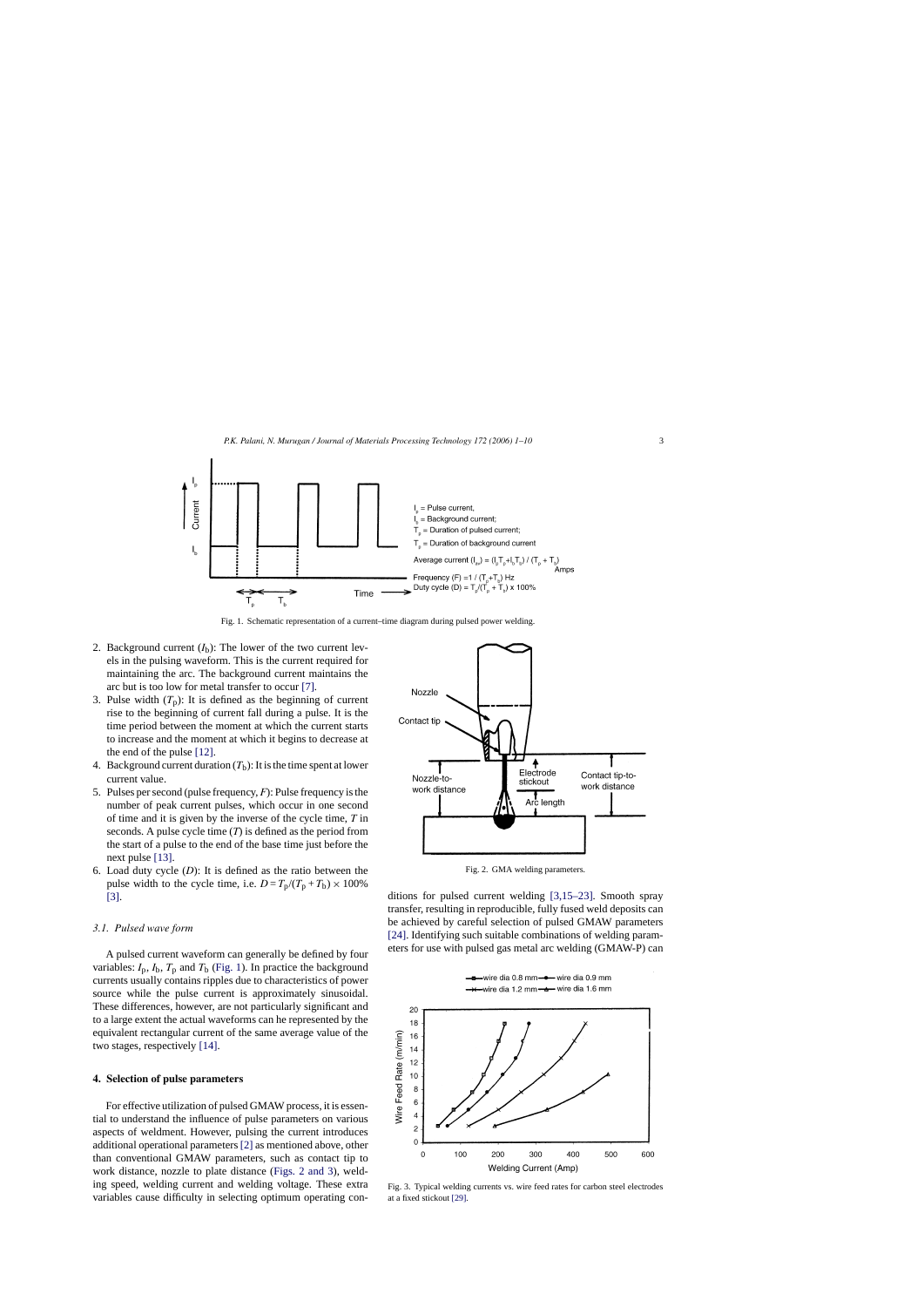<span id="page-2-0"></span>

Fig. 1. Schematic representation of a current–time diagram during pulsed power welding.

- 2. Background current  $(I<sub>b</sub>)$ : The lower of the two current levels in the pulsing waveform. This is the current required for maintaining the arc. The background current maintains the arc but is too low for metal transfer to occur [\[7\].](#page-9-0)
- 3. Pulse width  $(T_p)$ : It is defined as the beginning of current rise to the beginning of current fall during a pulse. It is the time period between the moment at which the current starts to increase and the moment at which it begins to decrease at the end of the pulse [\[12\].](#page-9-0)
- 4. Background current duration  $(T_b)$ : It is the time spent at lower current value.
- 5. Pulses per second (pulse frequency, *F*): Pulse frequency is the number of peak current pulses, which occur in one second of time and it is given by the inverse of the cycle time, *T* in seconds. A pulse cycle time (*T*) is defined as the period from the start of a pulse to the end of the base time just before the next pulse [\[13\].](#page-9-0)
- 6. Load duty cycle (*D*): It is defined as the ratio between the pulse width to the cycle time, i.e.  $D = T_p/(T_p + T_b) \times 100\%$ [\[3\].](#page-9-0)

# *3.1. Pulsed wave form*

A pulsed current waveform can generally be defined by four variables:  $I_p$ ,  $I_b$ ,  $T_p$  and  $T_b$  (Fig. 1). In practice the background currents usually contains ripples due to characteristics of power source while the pulse current is approximately sinusoidal. These differences, however, are not particularly significant and to a large extent the actual waveforms can he represented by the equivalent rectangular current of the same average value of the two stages, respectively [\[14\].](#page-9-0)

## **4. Selection of pulse parameters**

For effective utilization of pulsed GMAW process, it is essential to understand the influence of pulse parameters on various aspects of weldment. However, pulsing the current introduces additional operational parameters [\[2\]](#page-9-0) as mentioned above, other than conventional GMAW parameters, such as contact tip to work distance, nozzle to plate distance (Figs. 2 and 3), welding speed, welding current and welding voltage. These extra variables cause difficulty in selecting optimum operating con-



Fig. 2. GMA welding parameters.

ditions for pulsed current welding [\[3,15–23\].](#page-9-0) Smooth spray transfer, resulting in reproducible, fully fused weld deposits can be achieved by careful selection of pulsed GMAW parameters [\[24\].](#page-9-0) Identifying such suitable combinations of welding parameters for use with pulsed gas metal arc welding (GMAW-P) can



Fig. 3. Typical welding currents vs. wire feed rates for carbon steel electrodes at a fixed stickout [\[29\].](#page-9-0)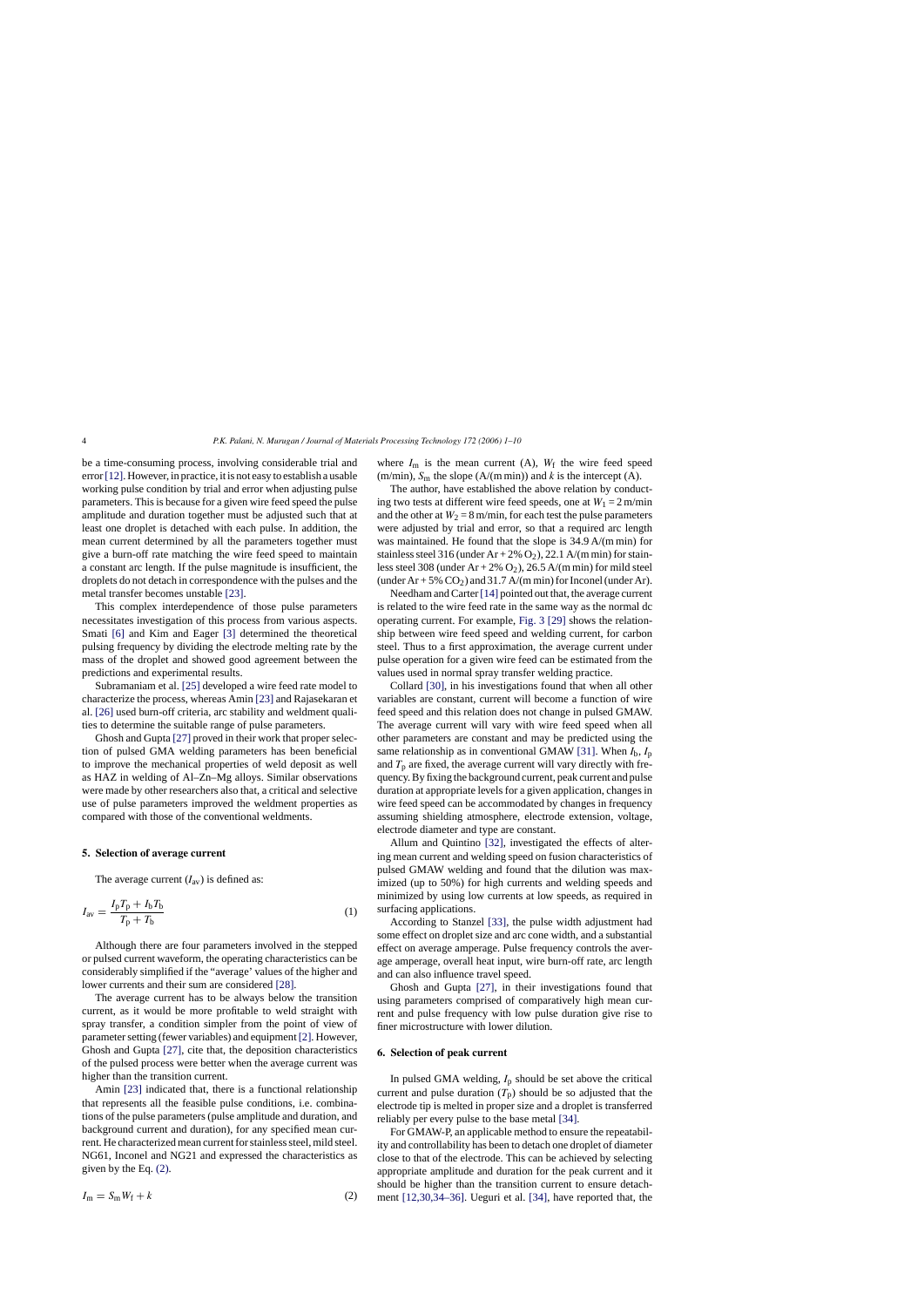be a time-consuming process, involving considerable trial and error[\[12\]. H](#page-9-0)owever, in practice, it is not easy to establish a usable working pulse condition by trial and error when adjusting pulse parameters. This is because for a given wire feed speed the pulse amplitude and duration together must be adjusted such that at least one droplet is detached with each pulse. In addition, the mean current determined by all the parameters together must give a burn-off rate matching the wire feed speed to maintain a constant arc length. If the pulse magnitude is insufficient, the droplets do not detach in correspondence with the pulses and the metal transfer becomes unstable [\[23\].](#page-9-0)

This complex interdependence of those pulse parameters necessitates investigation of this process from various aspects. Smati [\[6\]](#page-9-0) and Kim and Eager [\[3\]](#page-9-0) determined the theoretical pulsing frequency by dividing the electrode melting rate by the mass of the droplet and showed good agreement between the predictions and experimental results.

Subramaniam et al. [\[25\]](#page-9-0) developed a wire feed rate model to characterize the process, whereas Amin [\[23\]](#page-9-0) and Rajasekaran et al. [\[26\]](#page-9-0) used burn-off criteria, arc stability and weldment qualities to determine the suitable range of pulse parameters.

Ghosh and Gupta [\[27\]](#page-9-0) proved in their work that proper selection of pulsed GMA welding parameters has been beneficial to improve the mechanical properties of weld deposit as well as HAZ in welding of Al–Zn–Mg alloys. Similar observations were made by other researchers also that, a critical and selective use of pulse parameters improved the weldment properties as compared with those of the conventional weldments.

#### **5. Selection of average current**

The average current  $(I_{av})$  is defined as:

$$
I_{\rm av} = \frac{I_{\rm p} T_{\rm p} + I_{\rm b} T_{\rm b}}{T_{\rm p} + T_{\rm b}}\tag{1}
$$

Although there are four parameters involved in the stepped or pulsed current waveform, the operating characteristics can be considerably simplified if the "average' values of the higher and lower currents and their sum are considered [\[28\].](#page-9-0)

The average current has to be always below the transition current, as it would be more profitable to weld straight with spray transfer, a condition simpler from the point of view of parameter setting (fewer variables) and equipment[\[2\]. H](#page-9-0)owever, Ghosh and Gupta [\[27\],](#page-9-0) cite that, the deposition characteristics of the pulsed process were better when the average current was higher than the transition current.

Amin [\[23\]](#page-9-0) indicated that, there is a functional relationship that represents all the feasible pulse conditions, i.e. combinations of the pulse parameters (pulse amplitude and duration, and background current and duration), for any specified mean current. He characterized mean current for stainless steel, mild steel. NG61, Inconel and NG21 and expressed the characteristics as given by the Eq. (2).

$$
I_{\rm m} = S_{\rm m} W_{\rm f} + k \tag{2}
$$

where  $I_m$  is the mean current (A),  $W_f$  the wire feed speed (m/min),  $S_m$  the slope (A/(m min)) and *k* is the intercept (A).

The author, have established the above relation by conducting two tests at different wire feed speeds, one at  $W_1 = 2$  m/min and the other at  $W_2 = 8$  m/min, for each test the pulse parameters were adjusted by trial and error, so that a required arc length was maintained. He found that the slope is 34.9 A/(m min) for stainless steel 316 (under  $Ar + 2\%$  O<sub>2</sub>), 22.1 A/(m min) for stainless steel 308 (under  $Ar + 2\% O_2$ ), 26.5 A/(m min) for mild steel (under  $Ar + 5\% CO_2$ ) and 31.7 A/(m min) for Inconel (under Ar).

Needham and Carter [\[14\]](#page-9-0) pointed out that, the average current is related to the wire feed rate in the same way as the normal dc operating current. For example, [Fig. 3](#page-2-0) [\[29\]](#page-9-0) shows the relationship between wire feed speed and welding current, for carbon steel. Thus to a first approximation, the average current under pulse operation for a given wire feed can be estimated from the values used in normal spray transfer welding practice.

Collard [\[30\],](#page-9-0) in his investigations found that when all other variables are constant, current will become a function of wire feed speed and this relation does not change in pulsed GMAW. The average current will vary with wire feed speed when all other parameters are constant and may be predicted using the same relationship as in conventional GMAW [\[31\]. W](#page-9-0)hen  $I<sub>b</sub>$ ,  $I<sub>p</sub>$ and  $T_p$  are fixed, the average current will vary directly with frequency. By fixing the background current, peak current and pulse duration at appropriate levels for a given application, changes in wire feed speed can be accommodated by changes in frequency assuming shielding atmosphere, electrode extension, voltage, electrode diameter and type are constant.

Allum and Quintino [\[32\],](#page-9-0) investigated the effects of altering mean current and welding speed on fusion characteristics of pulsed GMAW welding and found that the dilution was maximized (up to 50%) for high currents and welding speeds and minimized by using low currents at low speeds, as required in surfacing applications.

According to Stanzel [\[33\],](#page-9-0) the pulse width adjustment had some effect on droplet size and arc cone width, and a substantial effect on average amperage. Pulse frequency controls the average amperage, overall heat input, wire burn-off rate, arc length and can also influence travel speed.

Ghosh and Gupta [\[27\],](#page-9-0) in their investigations found that using parameters comprised of comparatively high mean current and pulse frequency with low pulse duration give rise to finer microstructure with lower dilution.

# **6. Selection of peak current**

In pulsed GMA welding,  $I_p$  should be set above the critical current and pulse duration  $(T_p)$  should be so adjusted that the electrode tip is melted in proper size and a droplet is transferred reliably per every pulse to the base metal [\[34\].](#page-9-0)

For GMAW-P, an applicable method to ensure the repeatability and controllability has been to detach one droplet of diameter close to that of the electrode. This can be achieved by selecting appropriate amplitude and duration for the peak current and it should be higher than the transition current to ensure detachment [\[12,30,34–36\].](#page-9-0) Ueguri et al. [\[34\],](#page-9-0) have reported that, the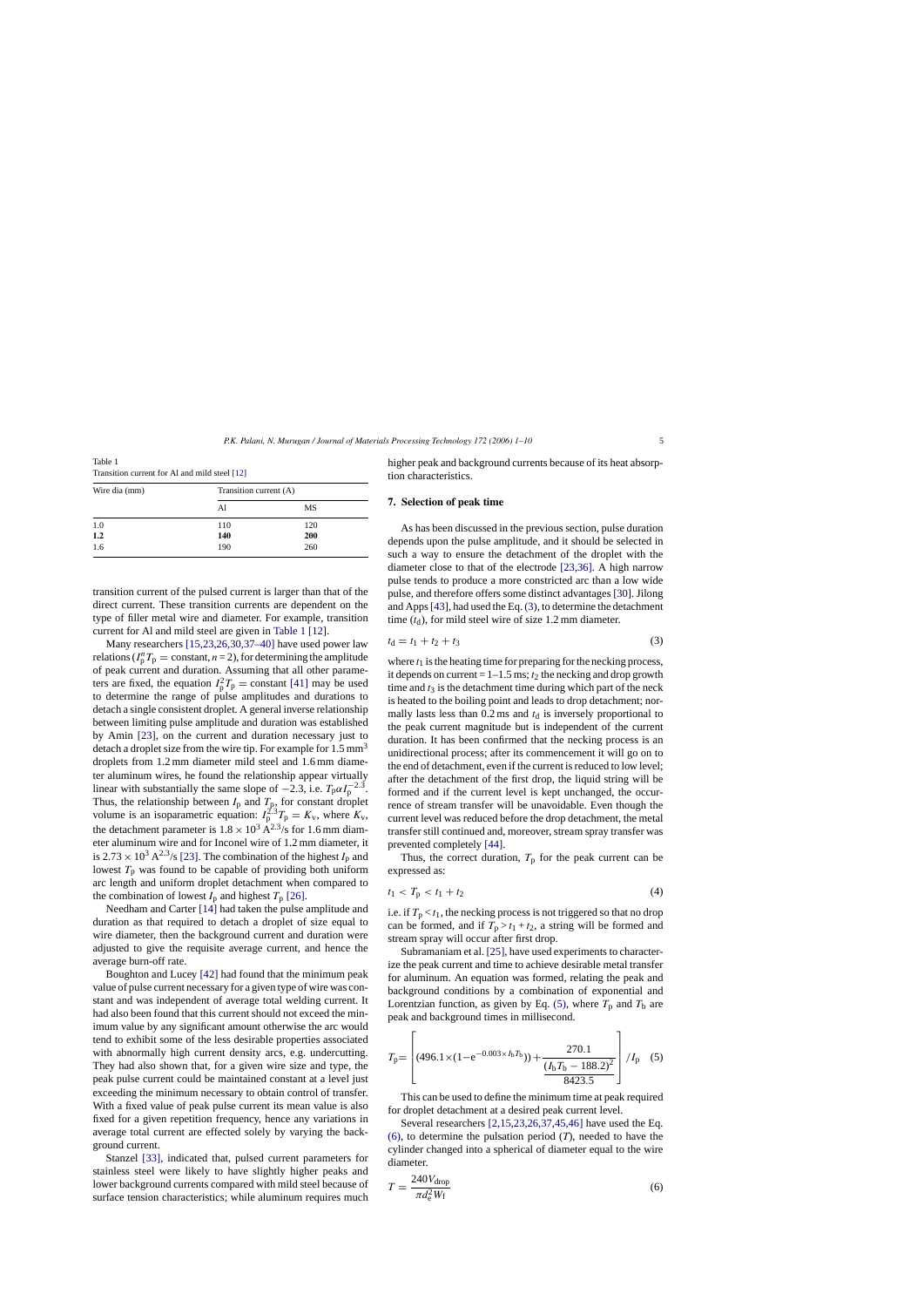Table 1 Transition current for Al and mild steel [\[12\]](#page-9-0)

| Wire dia (mm) | Transition current (A) |     |  |
|---------------|------------------------|-----|--|
|               | Al                     | MS  |  |
| 1.0           | 110                    | 120 |  |
| 1.2           | 140                    | 200 |  |
| 1.6           | 190                    | 260 |  |

transition current of the pulsed current is larger than that of the direct current. These transition currents are dependent on the type of filler metal wire and diameter. For example, transition current for Al and mild steel are given in Table 1 [\[12\].](#page-9-0)

Many researchers [\[15,23,26,30,37–40\]](#page-9-0) have used power law relations ( $I_p^n T_p$  = constant, *n* = 2), for determining the amplitude of peak current and duration. Assuming that all other parameters are fixed, the equation  $I_p^2 T_p = \text{constant} [41]$  $I_p^2 T_p = \text{constant} [41]$  may be used to determine the range of pulse amplitudes and durations to detach a single consistent droplet. A general inverse relationship between limiting pulse amplitude and duration was established by Amin [\[23\],](#page-9-0) on the current and duration necessary just to detach a droplet size from the wire tip. For example for  $1.5 \text{ mm}^3$ droplets from 1.2 mm diameter mild steel and 1.6 mm diameter aluminum wires, he found the relationship appear virtually linear with substantially the same slope of  $-2.3$ , i.e.  $T_p \alpha I_p^{-2.3}$ . Thus, the relationship between  $I_p$  and  $T_p$ , for constant droplet volume is an isoparametric equation:  $I_p^{\sum_{i=1}^{S} T_p} = K_v$ , where  $K_v$ , the detachment parameter is  $1.8 \times 10^3$   $A^{2.3}/s$  for 1.6 mm diameter aluminum wire and for Inconel wire of 1.2 mm diameter, it is 2.73  $\times$  10<sup>3</sup> A<sup>2.3</sup>/s [\[23\]. T](#page-9-0)he combination of the highest  $I_p$  and lowest  $T_p$  was found to be capable of providing both uniform arc length and uniform droplet detachment when compared to the combination of lowest  $I_p$  and highest  $T_p$  [\[26\].](#page-9-0)

Needham and Carter [\[14\]](#page-9-0) had taken the pulse amplitude and duration as that required to detach a droplet of size equal to wire diameter, then the background current and duration were adjusted to give the requisite average current, and hence the average burn-off rate.

Boughton and Lucey [\[42\]](#page-9-0) had found that the minimum peak value of pulse current necessary for a given type of wire was constant and was independent of average total welding current. It had also been found that this current should not exceed the minimum value by any significant amount otherwise the arc would tend to exhibit some of the less desirable properties associated with abnormally high current density arcs, e.g. undercutting. They had also shown that, for a given wire size and type, the peak pulse current could be maintained constant at a level just exceeding the minimum necessary to obtain control of transfer. With a fixed value of peak pulse current its mean value is also fixed for a given repetition frequency, hence any variations in average total current are effected solely by varying the background current.

Stanzel [\[33\],](#page-9-0) indicated that, pulsed current parameters for stainless steel were likely to have slightly higher peaks and lower background currents compared with mild steel because of surface tension characteristics; while aluminum requires much

higher peak and background currents because of its heat absorption characteristics.

# **7. Selection of peak time**

As has been discussed in the previous section, pulse duration depends upon the pulse amplitude, and it should be selected in such a way to ensure the detachment of the droplet with the diameter close to that of the electrode [\[23,36\].](#page-9-0) A high narrow pulse tends to produce a more constricted arc than a low wide pulse, and therefore offers some distinct advantages [\[30\]. J](#page-9-0)ilong and Apps[\[43\], h](#page-9-0)ad used the Eq. (3), to determine the detachment time  $(t_d)$ , for mild steel wire of size 1.2 mm diameter.

$$
t_{\rm d} = t_1 + t_2 + t_3 \tag{3}
$$

where  $t_1$  is the heating time for preparing for the necking process, it depends on current  $= 1-1.5$  ms;  $t_2$  the necking and drop growth time and  $t_3$  is the detachment time during which part of the neck is heated to the boiling point and leads to drop detachment; normally lasts less than  $0.2$  ms and  $t<sub>d</sub>$  is inversely proportional to the peak current magnitude but is independent of the current duration. It has been confirmed that the necking process is an unidirectional process; after its commencement it will go on to the end of detachment, even if the current is reduced to low level; after the detachment of the first drop, the liquid string will be formed and if the current level is kept unchanged, the occurrence of stream transfer will be unavoidable. Even though the current level was reduced before the drop detachment, the metal transfer still continued and, moreover, stream spray transfer was prevented completely [\[44\].](#page-9-0)

Thus, the correct duration,  $T_p$  for the peak current can be expressed as:

$$
t_1 < T_p < t_1 + t_2 \tag{4}
$$

i.e. if  $T_p < t_1$ , the necking process is not triggered so that no drop can be formed, and if  $T_p > t_1 + t_2$ , a string will be formed and stream spray will occur after first drop.

Subramaniam et al. [\[25\], h](#page-9-0)ave used experiments to characterize the peak current and time to achieve desirable metal transfer for aluminum. An equation was formed, relating the peak and background conditions by a combination of exponential and Lorentzian function, as given by Eq. (5), where  $T_p$  and  $T_b$  are peak and background times in millisecond.

$$
T_{\rm p} = \left[ (496.1 \times (1 - e^{-0.003 \times I_{\rm b} T_{\rm b}})) + \frac{270.1}{(I_{\rm b} T_{\rm b} - 188.2)^2} \right] / I_{\rm p} \quad (5)
$$

 $\overline{a}$ 

r.

This can be used to define the minimum time at peak required for droplet detachment at a desired peak current level.

Several researchers [\[2,15,23,26,37,45,46\]](#page-9-0) have used the Eq. (6), to determine the pulsation period (*T*), needed to have the cylinder changed into a spherical of diameter equal to the wire diameter.

$$
T = \frac{240 V_{\text{drop}}}{\pi d_{\text{e}}^2 W_{\text{f}}}
$$
 (6)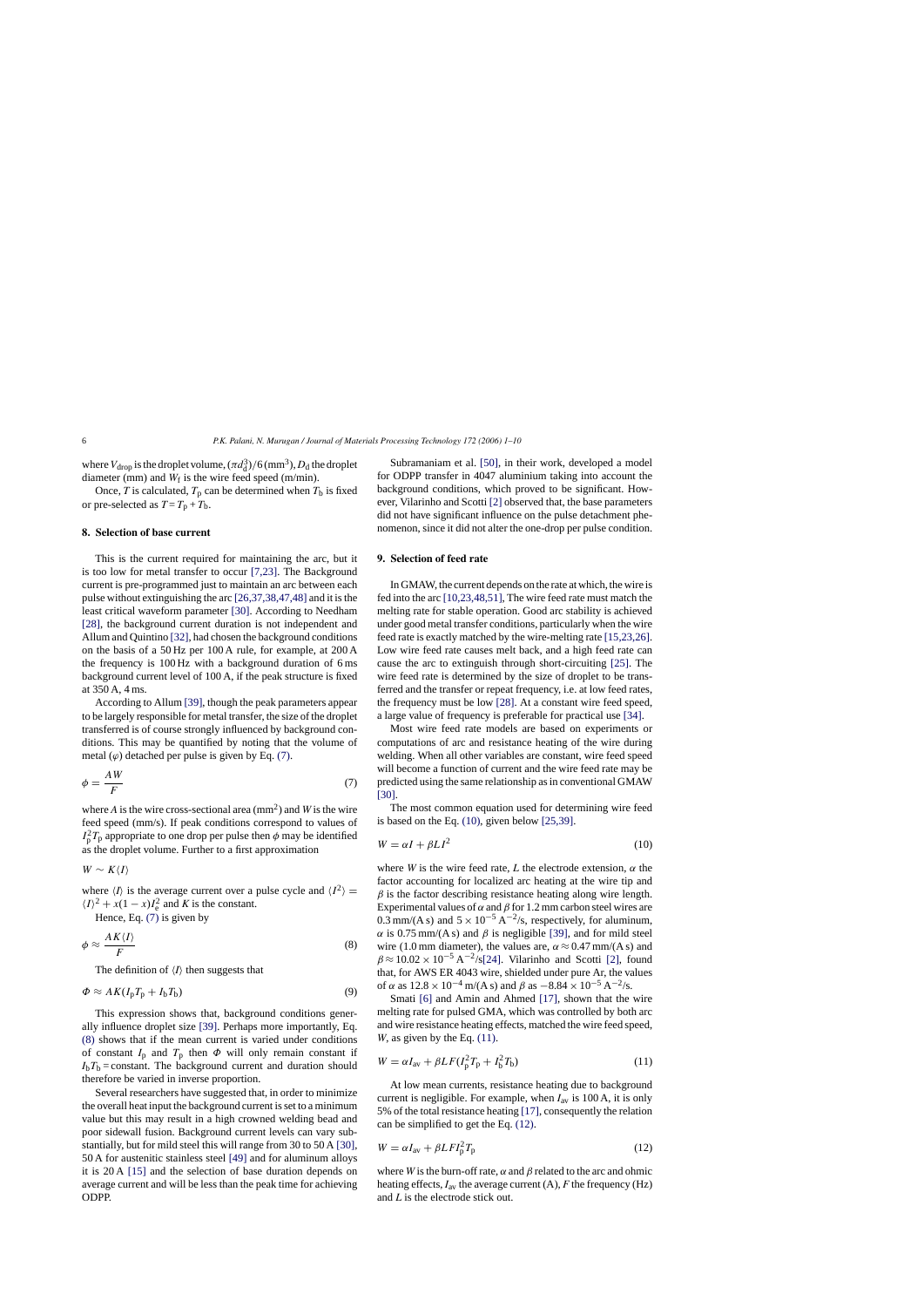where  $V_{\text{drop}}$  is the droplet volume,  $(\pi d_{\text{d}}^3)/6 \, \text{(mm}^3)$ ,  $D_{\text{d}}$  the droplet diameter (mm) and  $W_f$  is the wire feed speed (m/min).

Once, *T* is calculated,  $T_p$  can be determined when  $T_b$  is fixed or pre-selected as  $T = T_p + T_b$ .

### **8. Selection of base current**

This is the current required for maintaining the arc, but it is too low for metal transfer to occur [\[7,23\].](#page-9-0) The Background current is pre-programmed just to maintain an arc between each pulse without extinguishing the arc [\[26,37,38,47,48\]](#page-9-0) and it is the least critical waveform parameter [\[30\]. A](#page-9-0)ccording to Needham [\[28\],](#page-9-0) the background current duration is not independent and Allum and Quintino [\[32\], h](#page-9-0)ad chosen the background conditions on the basis of a 50 Hz per 100 A rule, for example, at 200 A the frequency is 100 Hz with a background duration of 6 ms background current level of 100 A, if the peak structure is fixed at 350 A, 4 ms.

According to Allum [\[39\], t](#page-9-0)hough the peak parameters appear to be largely responsible for metal transfer, the size of the droplet transferred is of course strongly influenced by background conditions. This may be quantified by noting that the volume of metal  $(\varphi)$  detached per pulse is given by Eq. (7).

$$
\phi = \frac{AW}{F} \tag{7}
$$

where *A* is the wire cross-sectional area  $\text{(mm}^2)$  and *W* is the wire feed speed (mm/s). If peak conditions correspond to values of  $I_p^2T_p$  appropriate to one drop per pulse then  $\phi$  may be identified as the droplet volume. Further to a first approximation

 $W \sim K\langle I \rangle$ 

where  $\langle I \rangle$  is the average current over a pulse cycle and  $\langle I^2 \rangle$  =  $\langle I \rangle^2 + x(1-x)I_e^2$  and *K* is the constant.

Hence, Eq. (7) is given by

$$
\phi \approx \frac{AK\langle I\rangle}{F} \tag{8}
$$

The definition of  $\langle I \rangle$  then suggests that

$$
\Phi \approx AK(I_pT_p + I_bT_b) \tag{9}
$$

This expression shows that, background conditions generally influence droplet size [\[39\].](#page-9-0) Perhaps more importantly, Eq. (8) shows that if the mean current is varied under conditions of constant  $I_p$  and  $T_p$  then  $\Phi$  will only remain constant if  $I<sub>b</sub>T<sub>b</sub>$  = constant. The background current and duration should therefore be varied in inverse proportion.

Several researchers have suggested that, in order to minimize the overall heat input the background current is set to a minimum value but this may result in a high crowned welding bead and poor sidewall fusion. Background current levels can vary substantially, but for mild steel this will range from 30 to 50 A [\[30\],](#page-9-0) 50 A for austenitic stainless steel [\[49\]](#page-9-0) and for aluminum alloys it is 20 A [\[15\]](#page-9-0) and the selection of base duration depends on average current and will be less than the peak time for achieving ODPP.

Subramaniam et al. [\[50\],](#page-9-0) in their work, developed a model for ODPP transfer in 4047 aluminium taking into account the background conditions, which proved to be significant. However, Vilarinho and Scotti [\[2\]](#page-9-0) observed that, the base parameters did not have significant influence on the pulse detachment phenomenon, since it did not alter the one-drop per pulse condition.

## **9. Selection of feed rate**

In GMAW, the current depends on the rate at which, the wire is fed into the arc [\[10,23,48,51\], T](#page-9-0)he wire feed rate must match the melting rate for stable operation. Good arc stability is achieved under good metal transfer conditions, particularly when the wire feed rate is exactly matched by the wire-melting rate [\[15,23,26\].](#page-9-0) Low wire feed rate causes melt back, and a high feed rate can cause the arc to extinguish through short-circuiting [\[25\].](#page-9-0) The wire feed rate is determined by the size of droplet to be transferred and the transfer or repeat frequency, i.e. at low feed rates, the frequency must be low [\[28\].](#page-9-0) At a constant wire feed speed, a large value of frequency is preferable for practical use [\[34\].](#page-9-0)

Most wire feed rate models are based on experiments or computations of arc and resistance heating of the wire during welding. When all other variables are constant, wire feed speed will become a function of current and the wire feed rate may be predicted using the same relationship as in conventional GMAW [\[30\].](#page-9-0)

The most common equation used for determining wire feed is based on the Eq. (10), given below [\[25,39\].](#page-9-0)

$$
W = \alpha I + \beta L I^2 \tag{10}
$$

where *W* is the wire feed rate, *L* the electrode extension,  $\alpha$  the factor accounting for localized arc heating at the wire tip and  $\beta$  is the factor describing resistance heating along wire length. Experimental values of  $\alpha$  and  $\beta$  for 1.2 mm carbon steel wires are  $0.3$  mm/(A s) and  $5 \times 10^{-5}$  A<sup>-2</sup>/s, respectively, for aluminum,  $\alpha$  is 0.75 mm/(A s) and  $\beta$  is negligible [\[39\],](#page-9-0) and for mild steel wire (1.0 mm diameter), the values are,  $\alpha \approx 0.47$  mm/(A s) and  $\beta \approx 10.02 \times 10^{-5} \text{ A}^{-2}/\text{s}$ [24]. Vilarinho and Scotti [\[2\],](#page-9-0) found that, for AWS ER 4043 wire, shielded under pure Ar, the values of  $\alpha$  as  $12.8 \times 10^{-4}$  m/(A s) and  $\beta$  as  $-8.84 \times 10^{-5}$  A<sup>-2</sup>/s.

Smati [\[6\]](#page-9-0) and Amin and Ahmed [\[17\],](#page-9-0) shown that the wire melting rate for pulsed GMA, which was controlled by both arc and wire resistance heating effects, matched the wire feed speed, *W*, as given by the Eq. (11).

$$
W = \alpha I_{\rm av} + \beta L F (I_{\rm p}^2 T_{\rm p} + I_{\rm b}^2 T_{\rm b})
$$
\n(11)

At low mean currents, resistance heating due to background current is negligible. For example, when *I*av is 100 A, it is only 5% of the total resistance heating [\[17\], c](#page-9-0)onsequently the relation can be simplified to get the Eq. (12).

$$
W = \alpha I_{\rm av} + \beta L F I_{\rm p}^2 T_{\rm p} \tag{12}
$$

where *W* is the burn-off rate,  $\alpha$  and  $\beta$  related to the arc and ohmic heating effects,  $I_{av}$  the average current (A),  $F$  the frequency (Hz) and *L* is the electrode stick out.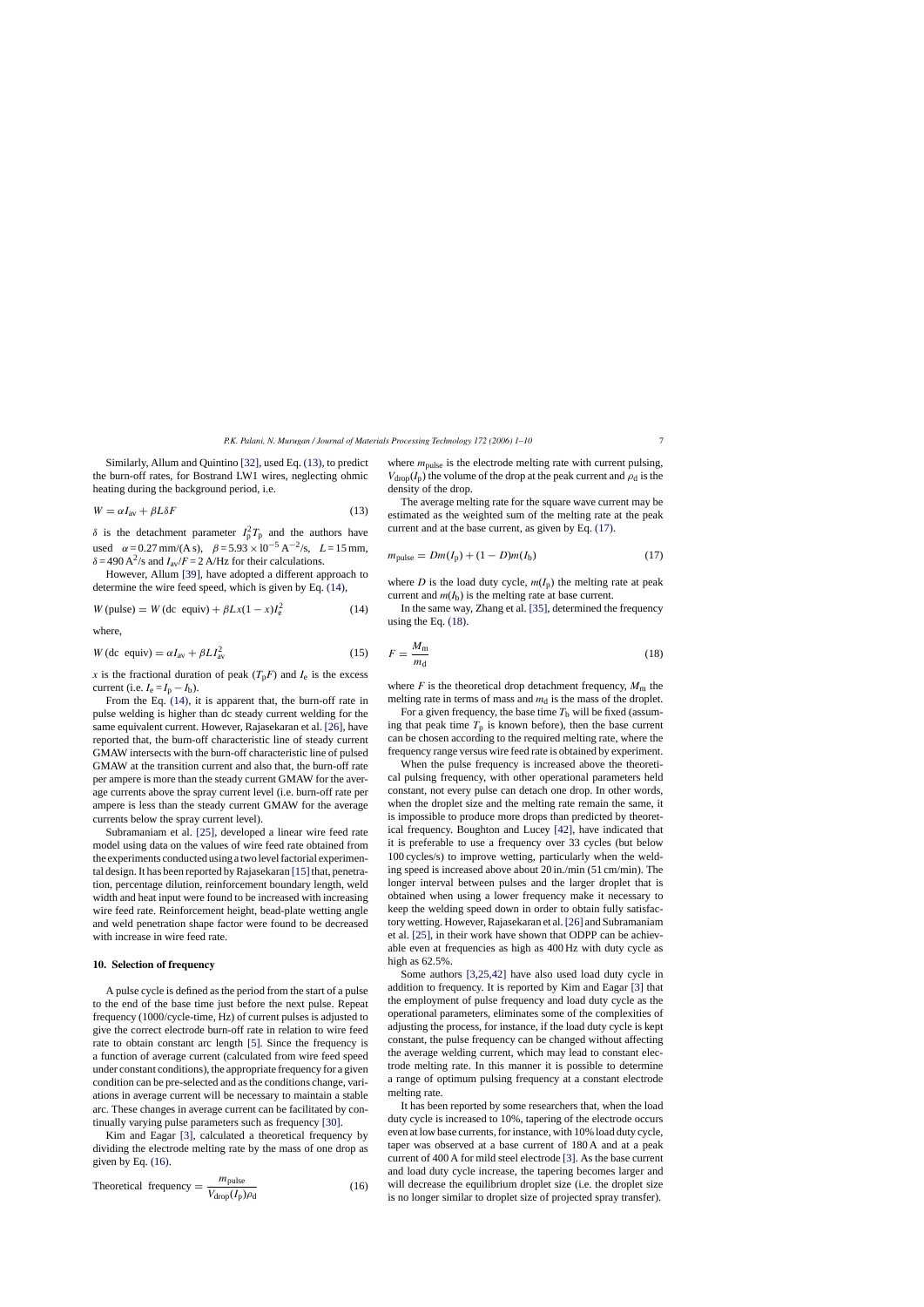Similarly, Allum and Quintino [\[32\], u](#page-9-0)sed Eq. (13), to predict the burn-off rates, for Bostrand LW1 wires, neglecting ohmic heating during the background period, i.e.

$$
W = \alpha I_{\rm av} + \beta L \delta F \tag{13}
$$

 $\delta$  is the detachment parameter  $I_p^2 T_p$  and the authors have used  $\alpha = 0.27$  mm/(A s),  $\beta = 5.93 \times 10^{-5}$  A<sup>-2</sup>/s,  $L = 15$  mm,  $\delta = 490 \text{ A}^2/\text{s}$  and  $I_{av}/F = 2 \text{ A/Hz}$  for their calculations.

However, Allum [\[39\],](#page-9-0) have adopted a different approach to determine the wire feed speed, which is given by Eq. (14),

$$
W(\text{pulse}) = W(\text{dc equiv}) + \beta Lx(1 - x)I_e^2 \tag{14}
$$

where,

$$
W \text{ (dc equiv)} = \alpha I_{\text{av}} + \beta L I_{\text{av}}^2 \tag{15}
$$

*x* is the fractional duration of peak  $(T_pF)$  and  $I_e$  is the excess current (i.e.  $I_e = I_p - I_b$ ).

From the Eq. (14), it is apparent that, the burn-off rate in pulse welding is higher than dc steady current welding for the same equivalent current. However, Rajasekaran et al. [\[26\],](#page-9-0) have reported that, the burn-off characteristic line of steady current GMAW intersects with the burn-off characteristic line of pulsed GMAW at the transition current and also that, the burn-off rate per ampere is more than the steady current GMAW for the average currents above the spray current level (i.e. burn-off rate per ampere is less than the steady current GMAW for the average currents below the spray current level).

Subramaniam et al. [\[25\],](#page-9-0) developed a linear wire feed rate model using data on the values of wire feed rate obtained from the experiments conducted using a two level factorial experimental design. It has been reported by Rajasekaran [15] that, penetration, percentage dilution, reinforcement boundary length, weld width and heat input were found to be increased with increasing wire feed rate. Reinforcement height, bead-plate wetting angle and weld penetration shape factor were found to be decreased with increase in wire feed rate.

## **10. Selection of frequency**

A pulse cycle is defined as the period from the start of a pulse to the end of the base time just before the next pulse. Repeat frequency (1000/cycle-time, Hz) of current pulses is adjusted to give the correct electrode burn-off rate in relation to wire feed rate to obtain constant arc length [\[5\].](#page-9-0) Since the frequency is a function of average current (calculated from wire feed speed under constant conditions), the appropriate frequency for a given condition can be pre-selected and as the conditions change, variations in average current will be necessary to maintain a stable arc. These changes in average current can be facilitated by continually varying pulse parameters such as frequency [\[30\].](#page-9-0)

Kim and Eagar [\[3\],](#page-9-0) calculated a theoretical frequency by dividing the electrode melting rate by the mass of one drop as given by Eq.  $(16)$ .

Theoretical frequency = 
$$
\frac{m_{\text{pulse}}}{V_{\text{drop}}(I_p)\rho_d}
$$
 (16)

where  $m_{\text{pulse}}$  is the electrode melting rate with current pulsing,  $V_{\text{drop}}(I_{\text{p}})$  the volume of the drop at the peak current and  $\rho_{\text{d}}$  is the density of the drop.

The average melting rate for the square wave current may be estimated as the weighted sum of the melting rate at the peak current and at the base current, as given by Eq. (17).

$$
m_{\text{pulse}} = Dm(I_{\text{p}}) + (1 - D)m(I_{\text{b}}) \tag{17}
$$

where *D* is the load duty cycle,  $m(I_p)$  the melting rate at peak current and  $m(I_b)$  is the melting rate at base current.

In the same way, Zhang et al. [\[35\], d](#page-9-0)etermined the frequency using the Eq. (18).

$$
F = \frac{M_{\rm m}}{m_{\rm d}}\tag{18}
$$

where  $F$  is the theoretical drop detachment frequency,  $M<sub>m</sub>$  the melting rate in terms of mass and  $m_d$  is the mass of the droplet.

For a given frequency, the base time  $T<sub>b</sub>$  will be fixed (assuming that peak time  $T_p$  is known before), then the base current can be chosen according to the required melting rate, where the frequency range versus wire feed rate is obtained by experiment.

When the pulse frequency is increased above the theoretical pulsing frequency, with other operational parameters held constant, not every pulse can detach one drop. In other words, when the droplet size and the melting rate remain the same, it is impossible to produce more drops than predicted by theoretical frequency. Boughton and Lucey [\[42\],](#page-9-0) have indicated that it is preferable to use a frequency over 33 cycles (but below 100 cycles/s) to improve wetting, particularly when the welding speed is increased above about 20 in./min (51 cm/min). The longer interval between pulses and the larger droplet that is obtained when using a lower frequency make it necessary to keep the welding speed down in order to obtain fully satisfactory wetting. However, Rajasekaran et al.[\[26\]](#page-9-0) and Subramaniam et al. [\[25\],](#page-9-0) in their work have shown that ODPP can be achievable even at frequencies as high as 400 Hz with duty cycle as high as 62.5%.

Some authors [\[3,25,42\]](#page-9-0) have also used load duty cycle in addition to frequency. It is reported by Kim and Eagar [\[3\]](#page-9-0) that the employment of pulse frequency and load duty cycle as the operational parameters, eliminates some of the complexities of adjusting the process, for instance, if the load duty cycle is kept constant, the pulse frequency can be changed without affecting the average welding current, which may lead to constant electrode melting rate. In this manner it is possible to determine a range of optimum pulsing frequency at a constant electrode melting rate.

It has been reported by some researchers that, when the load duty cycle is increased to 10%, tapering of the electrode occurs even at low base currents, for instance, with 10% load duty cycle, taper was observed at a base current of 180 A and at a peak current of 400 A for mild steel electrode [\[3\]. A](#page-9-0)s the base current and load duty cycle increase, the tapering becomes larger and will decrease the equilibrium droplet size (i.e. the droplet size is no longer similar to droplet size of projected spray transfer).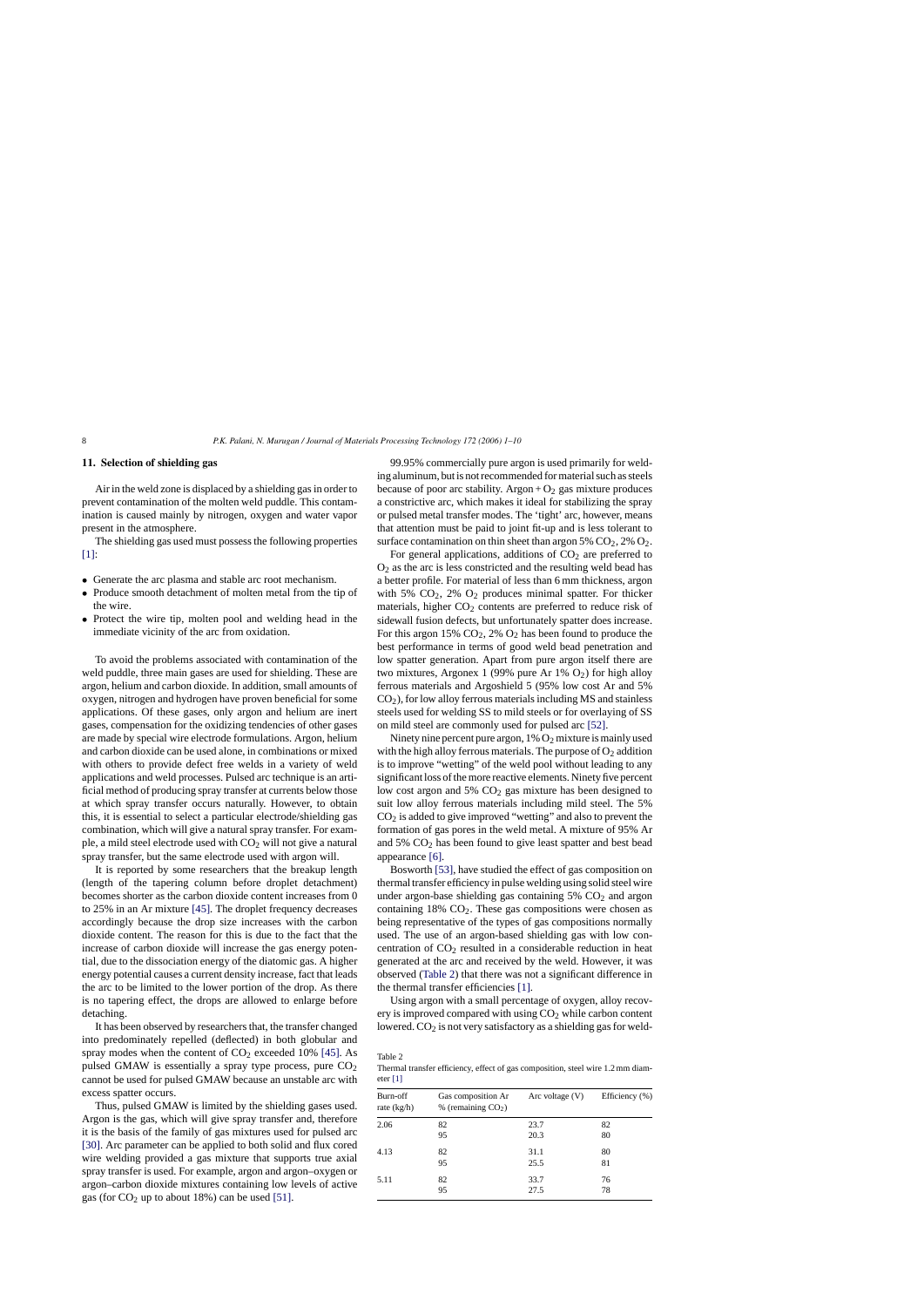# **11. Selection of shielding gas**

Air in the weld zone is displaced by a shielding gas in order to prevent contamination of the molten weld puddle. This contamination is caused mainly by nitrogen, oxygen and water vapor present in the atmosphere.

The shielding gas used must possess the following properties [\[1\]:](#page-9-0)

- Generate the arc plasma and stable arc root mechanism.
- Produce smooth detachment of molten metal from the tip of the wire.
- Protect the wire tip, molten pool and welding head in the immediate vicinity of the arc from oxidation.

To avoid the problems associated with contamination of the weld puddle, three main gases are used for shielding. These are argon, helium and carbon dioxide. In addition, small amounts of oxygen, nitrogen and hydrogen have proven beneficial for some applications. Of these gases, only argon and helium are inert gases, compensation for the oxidizing tendencies of other gases are made by special wire electrode formulations. Argon, helium and carbon dioxide can be used alone, in combinations or mixed with others to provide defect free welds in a variety of weld applications and weld processes. Pulsed arc technique is an artificial method of producing spray transfer at currents below those at which spray transfer occurs naturally. However, to obtain this, it is essential to select a particular electrode/shielding gas combination, which will give a natural spray transfer. For example, a mild steel electrode used with  $CO<sub>2</sub>$  will not give a natural spray transfer, but the same electrode used with argon will.

It is reported by some researchers that the breakup length (length of the tapering column before droplet detachment) becomes shorter as the carbon dioxide content increases from 0 to 25% in an Ar mixture [\[45\]. T](#page-9-0)he droplet frequency decreases accordingly because the drop size increases with the carbon dioxide content. The reason for this is due to the fact that the increase of carbon dioxide will increase the gas energy potential, due to the dissociation energy of the diatomic gas. A higher energy potential causes a current density increase, fact that leads the arc to be limited to the lower portion of the drop. As there is no tapering effect, the drops are allowed to enlarge before detaching.

It has been observed by researchers that, the transfer changed into predominately repelled (deflected) in both globular and spray modes when the content of  $CO<sub>2</sub>$  exceeded 10% [\[45\].](#page-9-0) As pulsed GMAW is essentially a spray type process, pure  $CO<sub>2</sub>$ cannot be used for pulsed GMAW because an unstable arc with excess spatter occurs.

Thus, pulsed GMAW is limited by the shielding gases used. Argon is the gas, which will give spray transfer and, therefore it is the basis of the family of gas mixtures used for pulsed arc [\[30\].](#page-9-0) Arc parameter can be applied to both solid and flux cored wire welding provided a gas mixture that supports true axial spray transfer is used. For example, argon and argon–oxygen or argon–carbon dioxide mixtures containing low levels of active gas (for  $CO<sub>2</sub>$  up to about 18%) can be used [\[51\].](#page-9-0)

99.95% commercially pure argon is used primarily for welding aluminum, but is not recommended for material such as steels because of poor arc stability. Argon +  $O_2$  gas mixture produces a constrictive arc, which makes it ideal for stabilizing the spray or pulsed metal transfer modes. The 'tight' arc, however, means that attention must be paid to joint fit-up and is less tolerant to surface contamination on thin sheet than argon 5%  $CO_2$ , 2%  $O_2$ .

For general applications, additions of  $CO<sub>2</sub>$  are preferred to  $O<sub>2</sub>$  as the arc is less constricted and the resulting weld bead has a better profile. For material of less than 6 mm thickness, argon with 5%  $CO<sub>2</sub>$ , 2%  $O<sub>2</sub>$  produces minimal spatter. For thicker materials, higher  $CO<sub>2</sub>$  contents are preferred to reduce risk of sidewall fusion defects, but unfortunately spatter does increase. For this argon 15%  $CO<sub>2</sub>$ , 2%  $O<sub>2</sub>$  has been found to produce the best performance in terms of good weld bead penetration and low spatter generation. Apart from pure argon itself there are two mixtures, Argonex 1 (99% pure Ar  $1\%$  O<sub>2</sub>) for high alloy ferrous materials and Argoshield 5 (95% low cost Ar and 5% CO2), for low alloy ferrous materials including MS and stainless steels used for welding SS to mild steels or for overlaying of SS on mild steel are commonly used for pulsed arc [\[52\].](#page-9-0)

Ninety nine percent pure argon, 1% O2 mixture is mainly used with the high alloy ferrous materials. The purpose of  $O_2$  addition is to improve "wetting" of the weld pool without leading to any significant loss of the more reactive elements. Ninety five percent low cost argon and  $5\%$  CO<sub>2</sub> gas mixture has been designed to suit low alloy ferrous materials including mild steel. The 5%  $CO<sub>2</sub>$  is added to give improved "wetting" and also to prevent the formation of gas pores in the weld metal. A mixture of 95% Ar and 5% CO2 has been found to give least spatter and best bead appearance [\[6\].](#page-9-0)

Bosworth [\[53\], h](#page-9-0)ave studied the effect of gas composition on thermal transfer efficiency in pulse welding using solid steel wire under argon-base shielding gas containing  $5\%$  CO<sub>2</sub> and argon containing  $18\%$  CO<sub>2</sub>. These gas compositions were chosen as being representative of the types of gas compositions normally used. The use of an argon-based shielding gas with low concentration of  $CO<sub>2</sub>$  resulted in a considerable reduction in heat generated at the arc and received by the weld. However, it was observed (Table 2) that there was not a significant difference in the thermal transfer efficiencies [\[1\].](#page-9-0)

Using argon with a small percentage of oxygen, alloy recovery is improved compared with using  $CO<sub>2</sub>$  while carbon content lowered.  $CO<sub>2</sub>$  is not very satisfactory as a shielding gas for weld-

Table 2

Thermal transfer efficiency, effect of gas composition, steel wire 1.2 mm diameter [\[1\]](#page-9-0)

| Burn-off<br>rate $(kg/h)$ | Gas composition Ar<br>% (remaining $CO2$ ) | Arc voltage $(V)$ | Efficiency (%) |
|---------------------------|--------------------------------------------|-------------------|----------------|
| 2.06                      | 82                                         | 23.7              | 82             |
|                           | 95                                         | 20.3              | 80             |
| 4.13                      | 82                                         | 31.1              | 80             |
|                           | 95                                         | 25.5              | 81             |
| 5.11                      | 82                                         | 33.7              | 76             |
|                           | 95                                         | 27.5              | 78             |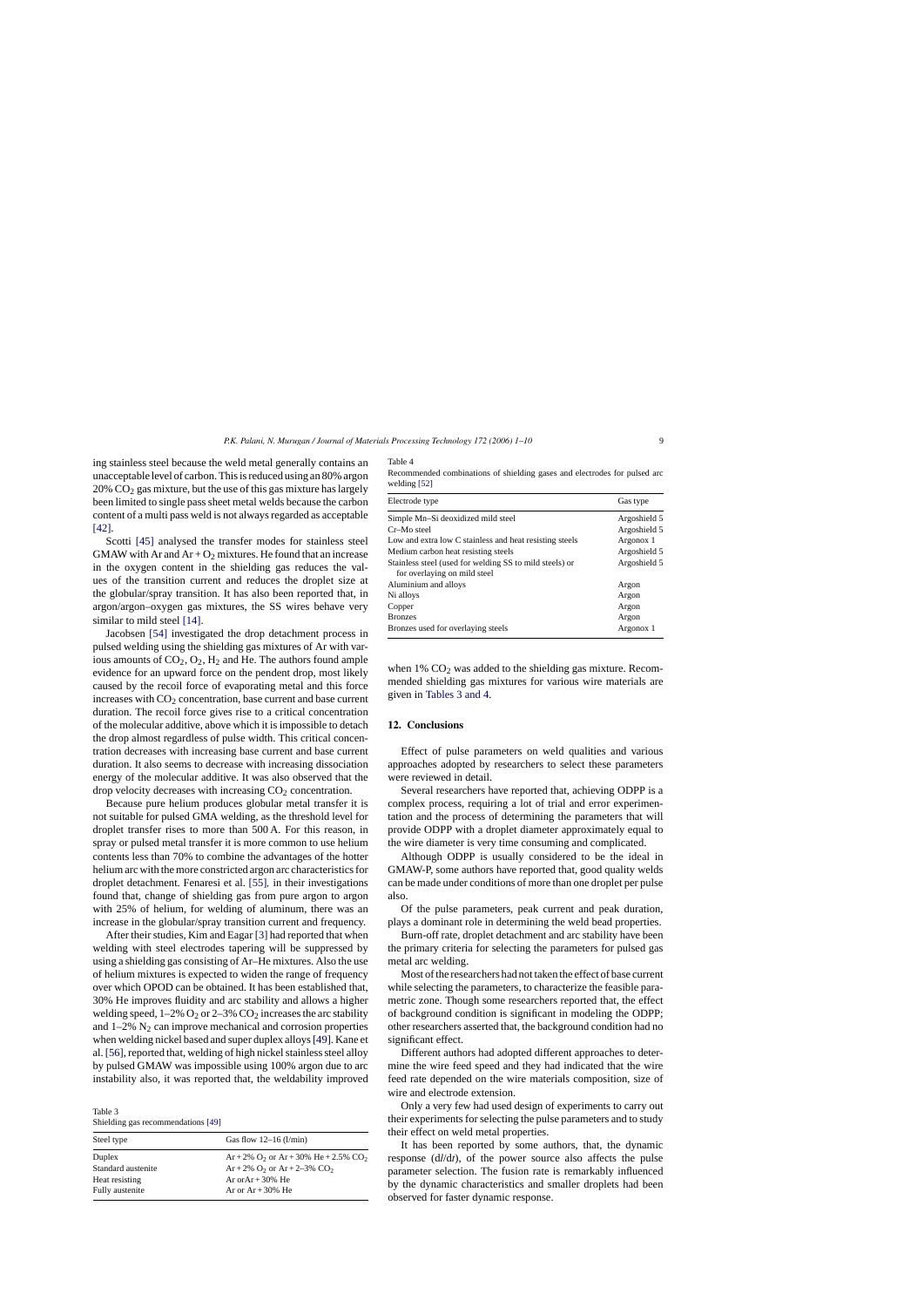ing stainless steel because the weld metal generally contains an unacceptable level of carbon. This is reduced using an 80% argon  $20\%$  CO<sub>2</sub> gas mixture, but the use of this gas mixture has largely been limited to single pass sheet metal welds because the carbon content of a multi pass weld is not always regarded as acceptable [\[42\].](#page-9-0)

Scotti [\[45\]](#page-9-0) analysed the transfer modes for stainless steel GMAW with Ar and  $Ar + O<sub>2</sub>$  mixtures. He found that an increase in the oxygen content in the shielding gas reduces the values of the transition current and reduces the droplet size at the globular/spray transition. It has also been reported that, in argon/argon–oxygen gas mixtures, the SS wires behave very similar to mild steel [\[14\].](#page-9-0)

Jacobsen [\[54\]](#page-9-0) investigated the drop detachment process in pulsed welding using the shielding gas mixtures of Ar with various amounts of  $CO_2$ ,  $O_2$ ,  $H_2$  and He. The authors found ample evidence for an upward force on the pendent drop, most likely caused by the recoil force of evaporating metal and this force increases with  $CO<sub>2</sub>$  concentration, base current and base current duration. The recoil force gives rise to a critical concentration of the molecular additive, above which it is impossible to detach the drop almost regardless of pulse width. This critical concentration decreases with increasing base current and base current duration. It also seems to decrease with increasing dissociation energy of the molecular additive. It was also observed that the drop velocity decreases with increasing  $CO<sub>2</sub>$  concentration.

Because pure helium produces globular metal transfer it is not suitable for pulsed GMA welding, as the threshold level for droplet transfer rises to more than 500 A. For this reason, in spray or pulsed metal transfer it is more common to use helium contents less than 70% to combine the advantages of the hotter helium arc with the more constricted argon arc characteristics for droplet detachment. Fenaresi et al. [\[55\]](#page-9-0)*,* in their investigations found that, change of shielding gas from pure argon to argon with 25% of helium, for welding of aluminum, there was an increase in the globular/spray transition current and frequency.

After their studies, Kim and Eagar [\[3\]](#page-9-0) had reported that when welding with steel electrodes tapering will be suppressed by using a shielding gas consisting of Ar–He mixtures. Also the use of helium mixtures is expected to widen the range of frequency over which OPOD can be obtained. It has been established that, 30% He improves fluidity and arc stability and allows a higher welding speed,  $1-2\%$  O<sub>2</sub> or  $2-3\%$  CO<sub>2</sub> increases the arc stability and  $1-2\%$  N<sub>2</sub> can improve mechanical and corrosion properties when welding nickel based and super duplex alloys[\[49\]. K](#page-9-0)ane et al. [\[56\], r](#page-9-0)eported that, welding of high nickel stainless steel alloy by pulsed GMAW was impossible using 100% argon due to arc instability also, it was reported that, the weldability improved

Table 3 Shielding gas recommendations [\[49\]](#page-9-0)

| Steel type         | Gas flow $12-16$ (l/min)                                           |
|--------------------|--------------------------------------------------------------------|
| Duplex             | $Ar + 2\%$ O <sub>2</sub> or $Ar + 30\%$ He + 2.5% CO <sub>2</sub> |
| Standard austenite | $Ar + 2\%$ O <sub>2</sub> or $Ar + 2 - 3\%$ CO <sub>2</sub>        |
| Heat resisting     | Ar or $Ar + 30\%$ He                                               |
| Fully austenite    | Ar or $Ar + 30\%$ He                                               |
|                    |                                                                    |

Table 4

Recommended combinations of shielding gases and electrodes for pulsed arc welding [\[52\]](#page-9-0)

| Electrode type                                                                          | Gas type     |  |
|-----------------------------------------------------------------------------------------|--------------|--|
| Simple Mn-Si deoxidized mild steel                                                      | Argoshield 5 |  |
| Cr-Mo steel                                                                             | Argoshield 5 |  |
| Low and extra low C stainless and heat resisting steels                                 | Argonox 1    |  |
| Medium carbon heat resisting steels                                                     | Argoshield 5 |  |
| Stainless steel (used for welding SS to mild steels) or<br>for overlaying on mild steel | Argoshield 5 |  |
| Aluminium and alloys                                                                    | Argon        |  |
| Ni alloys                                                                               | Argon        |  |
| Copper                                                                                  | Argon        |  |
| <b>Bronzes</b>                                                                          | Argon        |  |
| Bronzes used for overlaying steels                                                      | Argonox 1    |  |

when  $1\%$  CO<sub>2</sub> was added to the shielding gas mixture. Recommended shielding gas mixtures for various wire materials are given in Tables 3 and 4.

# **12. Conclusions**

Effect of pulse parameters on weld qualities and various approaches adopted by researchers to select these parameters were reviewed in detail.

Several researchers have reported that, achieving ODPP is a complex process, requiring a lot of trial and error experimentation and the process of determining the parameters that will provide ODPP with a droplet diameter approximately equal to the wire diameter is very time consuming and complicated.

Although ODPP is usually considered to be the ideal in GMAW-P, some authors have reported that, good quality welds can be made under conditions of more than one droplet per pulse also.

Of the pulse parameters, peak current and peak duration, plays a dominant role in determining the weld bead properties.

Burn-off rate, droplet detachment and arc stability have been the primary criteria for selecting the parameters for pulsed gas metal arc welding.

Most of the researchers had not taken the effect of base current while selecting the parameters, to characterize the feasible parametric zone. Though some researchers reported that, the effect of background condition is significant in modeling the ODPP; other researchers asserted that, the background condition had no significant effect.

Different authors had adopted different approaches to determine the wire feed speed and they had indicated that the wire feed rate depended on the wire materials composition, size of wire and electrode extension.

Only a very few had used design of experiments to carry out their experiments for selecting the pulse parameters and to study their effect on weld metal properties.

It has been reported by some authors, that, the dynamic response (d*l*/d*t*), of the power source also affects the pulse parameter selection. The fusion rate is remarkably influenced by the dynamic characteristics and smaller droplets had been observed for faster dynamic response.